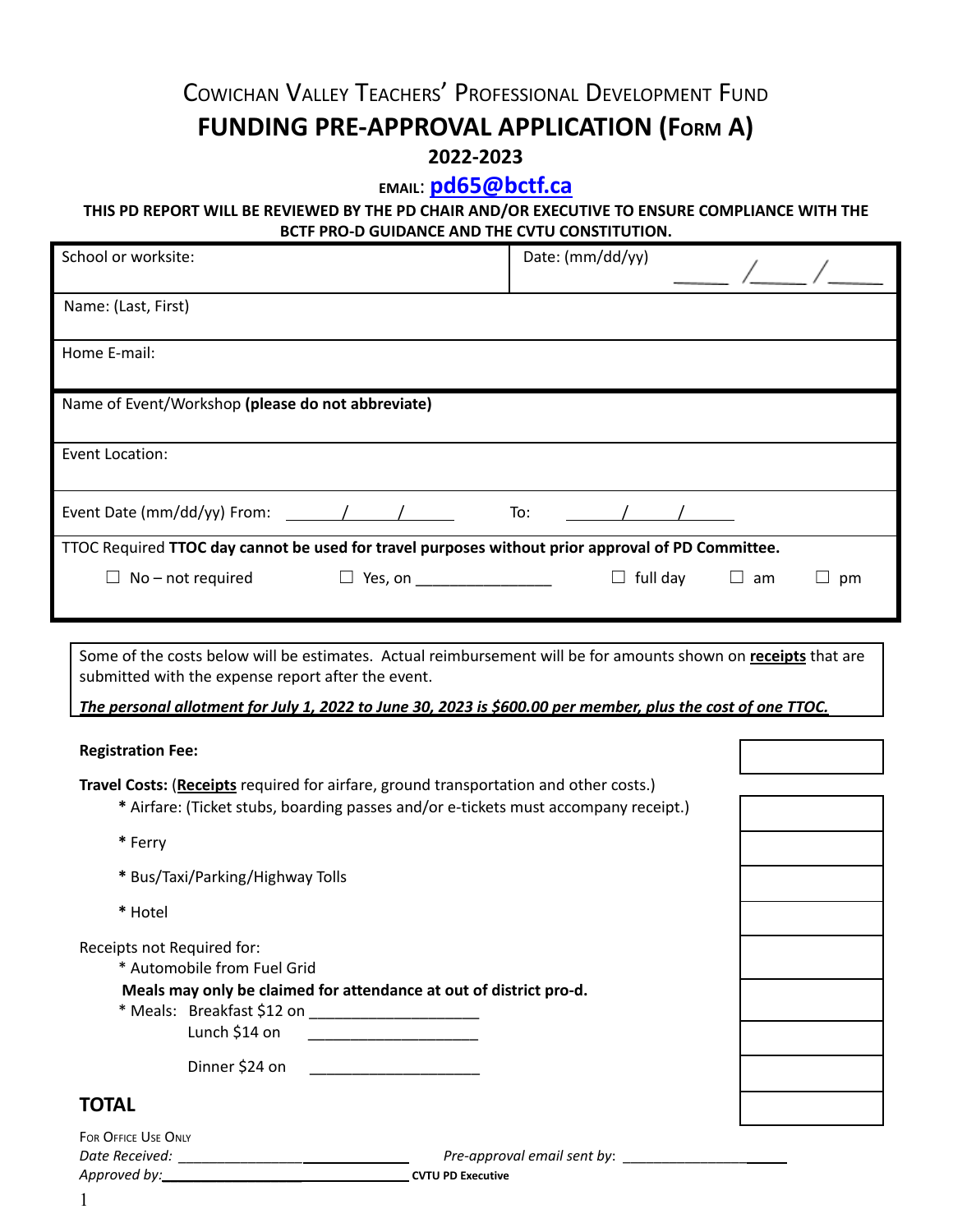# COWICHAN VALLEY TEACHERS' PROFESSIONAL DEVELOPMENT FUND **FUNDING PRE-APPROVAL APPLICATION (FORM A) 2022-2023**

# **EMAIL**: **[pd65@bctf.ca](mailto:pd65@bctf.ca)**

### **THIS PD REPORT WILL BE REVIEWED BY THE PD CHAIR AND/OR EXECUTIVE TO ENSURE COMPLIANCE WITH THE BCTF PRO-D GUIDANCE AND THE CVTU CONSTITUTION.**

| School or worksite:                                                                                                                                                                                                                                                                                                                                                           |                | Date: (mm/dd/yy) |                 |           |    |
|-------------------------------------------------------------------------------------------------------------------------------------------------------------------------------------------------------------------------------------------------------------------------------------------------------------------------------------------------------------------------------|----------------|------------------|-----------------|-----------|----|
| Name: (Last, First)                                                                                                                                                                                                                                                                                                                                                           |                |                  |                 |           |    |
| Home E-mail:                                                                                                                                                                                                                                                                                                                                                                  |                |                  |                 |           |    |
| Name of Event/Workshop (please do not abbreviate)                                                                                                                                                                                                                                                                                                                             |                |                  |                 |           |    |
|                                                                                                                                                                                                                                                                                                                                                                               |                |                  |                 |           |    |
| Event Location:                                                                                                                                                                                                                                                                                                                                                               |                |                  |                 |           |    |
| Event Date (mm/dd/yy) From: $\frac{1}{\sqrt{1-\frac{1}{2}}}\$                                                                                                                                                                                                                                                                                                                 |                | To:              |                 |           |    |
| TTOC Required TTOC day cannot be used for travel purposes without prior approval of PD Committee.                                                                                                                                                                                                                                                                             |                |                  |                 |           |    |
| No - not required<br>Ш                                                                                                                                                                                                                                                                                                                                                        | $\Box$ Yes, on |                  | $\Box$ full day | $\Box$ am | pm |
| submitted with the expense report after the event.<br>The personal allotment for July 1, 2022 to June 30, 2023 is \$600.00 per member, plus the cost of one TTOC.<br><b>Registration Fee:</b><br>Travel Costs: (Receipts required for airfare, ground transportation and other costs.)<br>* Airfare: (Ticket stubs, boarding passes and/or e-tickets must accompany receipt.) |                |                  |                 |           |    |
| * Ferry                                                                                                                                                                                                                                                                                                                                                                       |                |                  |                 |           |    |
| * Bus/Taxi/Parking/Highway Tolls                                                                                                                                                                                                                                                                                                                                              |                |                  |                 |           |    |
| * Hotel                                                                                                                                                                                                                                                                                                                                                                       |                |                  |                 |           |    |
| Receipts not Required for:<br>* Automobile from Fuel Grid<br>Meals may only be claimed for attendance at out of district pro-d.<br>* Meals: Breakfast \$12 on _______________________<br>Lunch \$14 on                                                                                                                                                                        |                |                  |                 |           |    |
| Dinner \$24 on ________________________                                                                                                                                                                                                                                                                                                                                       |                |                  |                 |           |    |
| <b>TOTAL</b>                                                                                                                                                                                                                                                                                                                                                                  |                |                  |                 |           |    |
| FOR OFFICE USE ONLY                                                                                                                                                                                                                                                                                                                                                           |                |                  |                 |           |    |

*Approved by:*\_\_\_\_\_\_\_\_\_\_\_\_\_\_\_\_\_\_ **CVTU PD Executive**